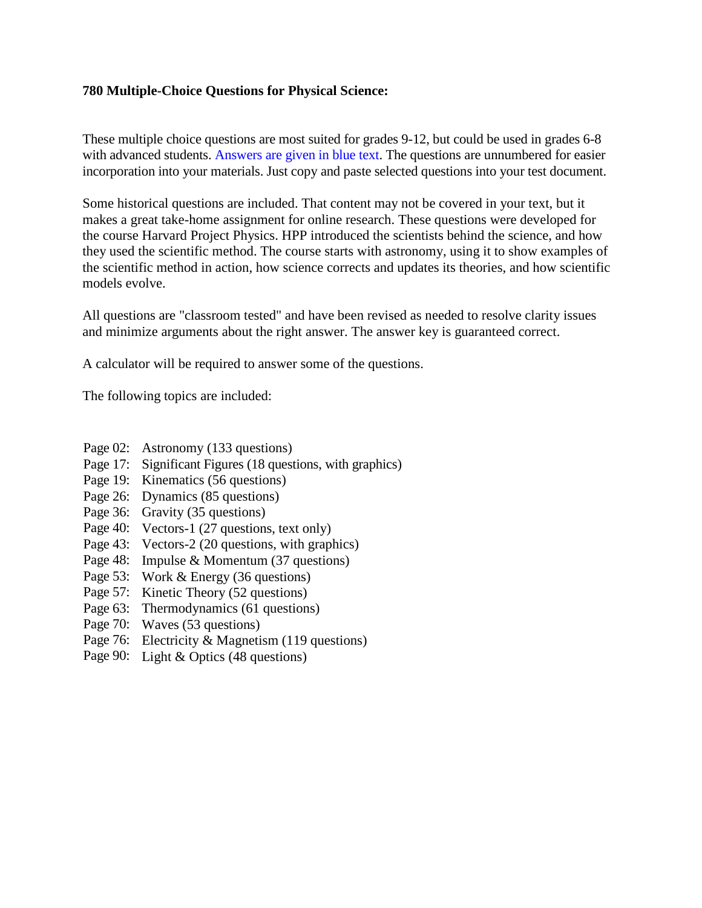## **780 Multiple-Choice Questions for Physical Science:**

These multiple choice questions are most suited for grades 9-12, but could be used in grades 6-8 with advanced students. Answers are given in blue text. The questions are unnumbered for easier incorporation into your materials. Just copy and paste selected questions into your test document.

Some historical questions are included. That content may not be covered in your text, but it makes a great take-home assignment for online research. These questions were developed for the course Harvard Project Physics. HPP introduced the scientists behind the science, and how they used the scientific method. The course starts with astronomy, using it to show examples of the scientific method in action, how science corrects and updates its theories, and how scientific models evolve.

All questions are "classroom tested" and have been revised as needed to resolve clarity issues and minimize arguments about the right answer. The answer key is guaranteed correct.

A calculator will be required to answer some of the questions.

The following topics are included:

- Page 02: Astronomy (133 questions)
- Page 17: Significant Figures (18 questions, with graphics)
- Page 19: Kinematics (56 questions)
- Page 26: Dynamics (85 questions)
- Page 36: Gravity (35 questions)
- Page 40: Vectors-1 (27 questions, text only)
- Page 43: Vectors-2 (20 questions, with graphics)
- Page 48: Impulse & Momentum (37 questions)
- Page 53: Work & Energy (36 questions)
- Page 57: Kinetic Theory (52 questions)
- Page 63: Thermodynamics (61 questions)
- Page 70: Waves (53 questions)
- Page 76: Electricity & Magnetism (119 questions)
- Page 90: Light & Optics (48 questions)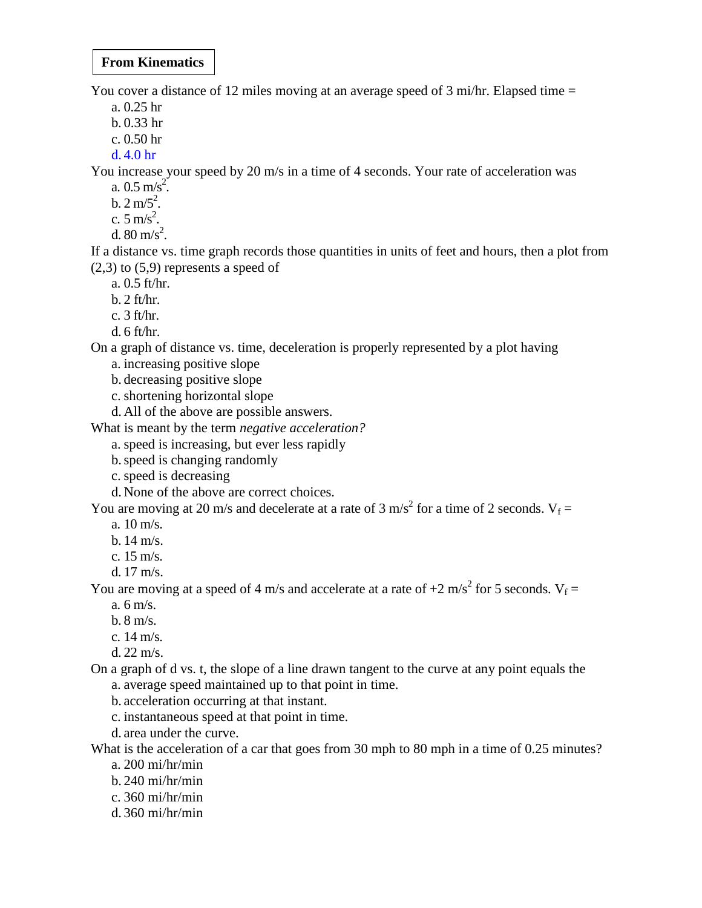## **From Kinematics**

You cover a distance of 12 miles moving at an average speed of 3 mi/hr. Elapsed time  $=$ 

- a. 0.25 hr
- b. 0.33 hr
- c. 0.50 hr
- d. 4.0 hr

You increase your speed by 20 m/s in a time of 4 seconds. Your rate of acceleration was

- a.  $0.5 \text{ m/s}^2$ .
- $b. 2 m/5^2$ .
- c.  $5 \text{ m/s}^2$ .
- d.  $80 \text{ m/s}^2$ .

If a distance vs. time graph records those quantities in units of feet and hours, then a plot from  $(2,3)$  to  $(5,9)$  represents a speed of

a. 0.5 ft/hr.

- $b. 2 ft/hr.$
- c. 3 ft/hr.
- d. 6 ft/hr.

On a graph of distance vs. time, deceleration is properly represented by a plot having

- a. increasing positive slope
- b. decreasing positive slope
- c. shortening horizontal slope
- d. All of the above are possible answers.

What is meant by the term *negative acceleration?*

- a. speed is increasing, but ever less rapidly
- b.speed is changing randomly
- c. speed is decreasing
- d. None of the above are correct choices.

You are moving at 20 m/s and decelerate at a rate of 3 m/s<sup>2</sup> for a time of 2 seconds.  $V_f =$ 

- a. 10 m/s.
- b. 14 m/s.
- c. 15 m/s.
- d. 17 m/s.

You are moving at a speed of 4 m/s and accelerate at a rate of  $+2$  m/s<sup>2</sup> for 5 seconds. V<sub>f</sub> =

- a. 6 m/s.
- b. 8 m/s.
- c. 14 m/s.
- d. 22 m/s.

On a graph of d vs. t, the slope of a line drawn tangent to the curve at any point equals the a. average speed maintained up to that point in time.

b. acceleration occurring at that instant.

- c. instantaneous speed at that point in time.
- d. area under the curve.

What is the acceleration of a car that goes from 30 mph to 80 mph in a time of 0.25 minutes?

- a. 200 mi/hr/min
- b. 240 mi/hr/min
- c. 360 mi/hr/min
- d. 360 mi/hr/min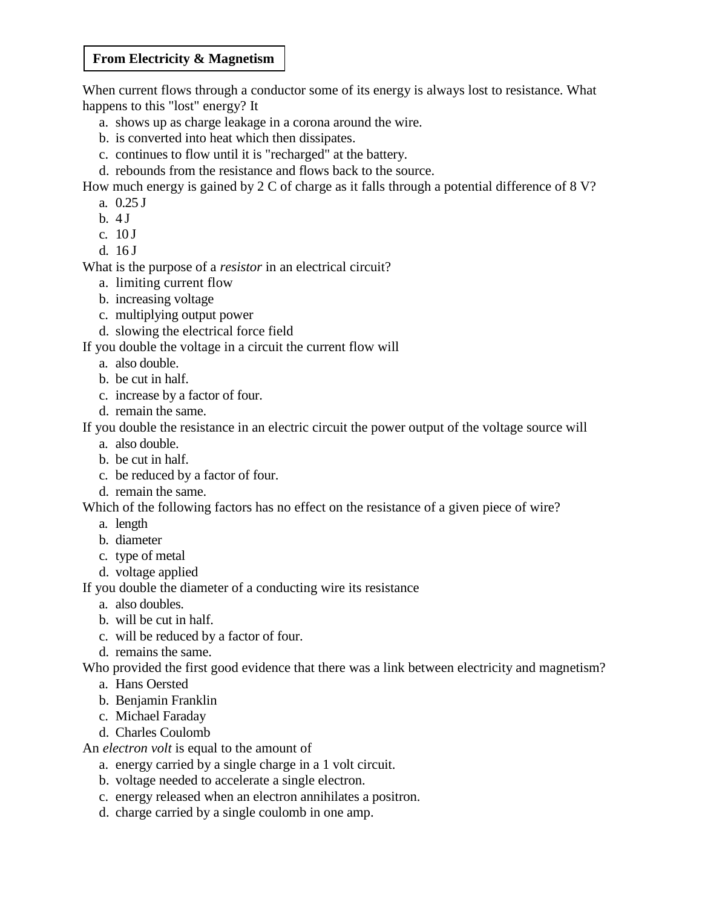## **From Electricity & Magnetism**

When current flows through a conductor some of its energy is always lost to resistance. What happens to this "lost" energy? It

- a. shows up as charge leakage in a corona around the wire.
- b. is converted into heat which then dissipates.
- c. continues to flow until it is "recharged" at the battery.
- d. rebounds from the resistance and flows back to the source.
- How much energy is gained by 2 C of charge as it falls through a potential difference of 8 V?
	- a. 0.25 J
	- $b. 4 J$
	- c. 10 J
	- d. 16 J

What is the purpose of a *resistor* in an electrical circuit?

- a. limiting current flow
- b. increasing voltage
- c. multiplying output power
- d. slowing the electrical force field

If you double the voltage in a circuit the current flow will

- a. also double.
- b. be cut in half.
- c. increase by a factor of four.
- d. remain the same.

If you double the resistance in an electric circuit the power output of the voltage source will

- a. also double.
- b. be cut in half.
- c. be reduced by a factor of four.
- d. remain the same.

Which of the following factors has no effect on the resistance of a given piece of wire?

- a. length
- b. diameter
- c. type of metal
- d. voltage applied

If you double the diameter of a conducting wire its resistance

- a. also doubles.
- b. will be cut in half.
- c. will be reduced by a factor of four.
- d. remains the same.

Who provided the first good evidence that there was a link between electricity and magnetism?

- a. Hans Oersted
- b. Benjamin Franklin
- c. Michael Faraday
- d. Charles Coulomb

An *electron volt* is equal to the amount of

- a. energy carried by a single charge in a 1 volt circuit.
- b. voltage needed to accelerate a single electron.
- c. energy released when an electron annihilates a positron.
- d. charge carried by a single coulomb in one amp.